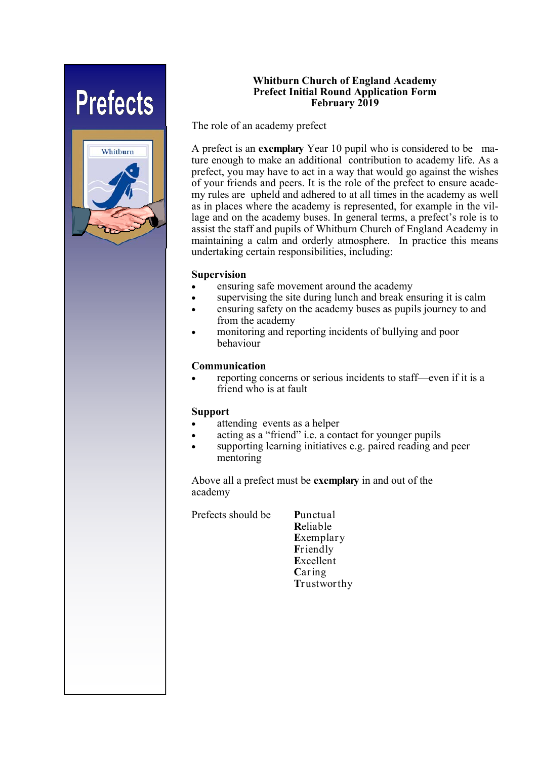# **Prefects**



#### **Whitburn Church of England Academy Prefect Initial Round Application Form February 2019**

The role of an academy prefect

A prefect is an **exemplary** Year 10 pupil who is considered to be mature enough to make an additional contribution to academy life. As a prefect, you may have to act in a way that would go against the wishes of your friends and peers. It is the role of the prefect to ensure academy rules are upheld and adhered to at all times in the academy as well as in places where the academy is represented, for example in the village and on the academy buses. In general terms, a prefect's role is to assist the staff and pupils of Whitburn Church of England Academy in maintaining a calm and orderly atmosphere. In practice this means undertaking certain responsibilities, including:

## **Supervision**

- ensuring safe movement around the academy
- supervising the site during lunch and break ensuring it is calm
- ensuring safety on the academy buses as pupils journey to and from the academy
- monitoring and reporting incidents of bullying and poor behaviour

## **Communication**

 reporting concerns or serious incidents to staff—even if it is a friend who is at fault

#### **Support**

- attending events as a helper
- acting as a "friend" i.e. a contact for younger pupils
- supporting learning initiatives e.g. paired reading and peer mentoring

Above all a prefect must be **exemplary** in and out of the academy

Prefects should be **P**unctual

 **R**eliable **E**xemplary **F**riendly **E**xcellent **C**aring **T**rustworthy